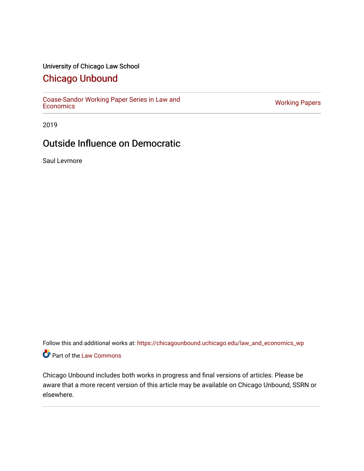## University of Chicago Law School

# [Chicago Unbound](https://chicagounbound.uchicago.edu/)

[Coase-Sandor Working Paper Series in Law and](https://chicagounbound.uchicago.edu/law_and_economics_wp) [Economics](https://chicagounbound.uchicago.edu/law_and_economics_wp) [Working Papers](https://chicagounbound.uchicago.edu/working_papers) 

2019

# Outside Influence on Democratic

Saul Levmore

Follow this and additional works at: [https://chicagounbound.uchicago.edu/law\\_and\\_economics\\_wp](https://chicagounbound.uchicago.edu/law_and_economics_wp?utm_source=chicagounbound.uchicago.edu%2Flaw_and_economics_wp%2F60&utm_medium=PDF&utm_campaign=PDFCoverPages)  Part of the [Law Commons](http://network.bepress.com/hgg/discipline/578?utm_source=chicagounbound.uchicago.edu%2Flaw_and_economics_wp%2F60&utm_medium=PDF&utm_campaign=PDFCoverPages)

Chicago Unbound includes both works in progress and final versions of articles. Please be aware that a more recent version of this article may be available on Chicago Unbound, SSRN or elsewhere.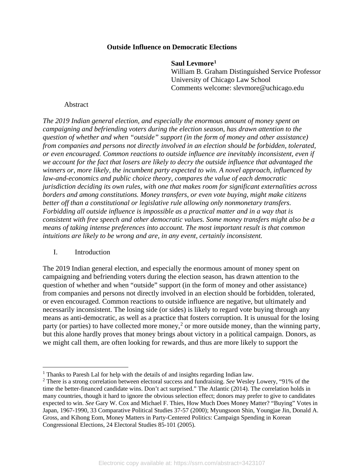### **Outside Influence on Democratic Elections**

**Saul Levmore[1](#page-1-0)** William B. Graham Distinguished Service Professor University of Chicago Law School Comments welcome: slevmore@uchicago.edu

#### Abstract

*The 2019 Indian general election, and especially the enormous amount of money spent on campaigning and befriending voters during the election season, has drawn attention to the question of whether and when "outside" support (in the form of money and other assistance) from companies and persons not directly involved in an election should be forbidden, tolerated, or even encouraged. Common reactions to outside influence are inevitably inconsistent, even if we account for the fact that losers are likely to decry the outside influence that advantaged the winners or, more likely, the incumbent party expected to win. A novel approach, influenced by law-and-economics and public choice theory, compares the value of each democratic jurisdiction deciding its own rules, with one that makes room for significant externalities across borders and among constitutions. Money transfers, or even vote buying, might make citizens better off than a constitutional or legislative rule allowing only nonmonetary transfers. Forbidding all outside influence is impossible as a practical matter and in a way that is consistent with free speech and other democratic values. Some money transfers might also be a means of taking intense preferences into account. The most important result is that common intuitions are likely to be wrong and are, in any event, certainly inconsistent.*

I. Introduction

 $\overline{a}$ 

The 2019 Indian general election, and especially the enormous amount of money spent on campaigning and befriending voters during the election season, has drawn attention to the question of whether and when "outside" support (in the form of money and other assistance) from companies and persons not directly involved in an election should be forbidden, tolerated, or even encouraged. Common reactions to outside influence are negative, but ultimately and necessarily inconsistent. The losing side (or sides) is likely to regard vote buying through any means as anti-democratic, as well as a practice that fosters corruption. It is unusual for the losing party (or parties) to have collected more money,<sup>[2](#page-1-1)</sup> or more outside money, than the winning party, but this alone hardly proves that money brings about victory in a political campaign. Donors, as we might call them, are often looking for rewards, and thus are more likely to support the

<span id="page-1-0"></span> $1$  Thanks to Paresh Lal for help with the details of and insights regarding Indian law.

<span id="page-1-1"></span><sup>2</sup> There is a strong correlation between electoral success and fundraising. *See* Wesley Lowery, "91% of the time the better-financed candidate wins. Don't act surprised." The Atlantic (2014). The correlation holds in many countries, though it hard to ignore the obvious selection effect; donors may prefer to give to candidates expected to win. *See* Gary W. Cox and Michael F. Thies, How Much Does Money Matter? "Buying" Votes in Japan, 1967-1990, 33 Comparative Political Studies 37-57 (2000); Myungsoon Shin, Youngjae Jin, Donald A. Gross, and Kihong Eom, Money Matters in Party-Centered Politics: Campaign Spending in Korean Congressional Elections, 24 Electoral Studies 85-101 (2005).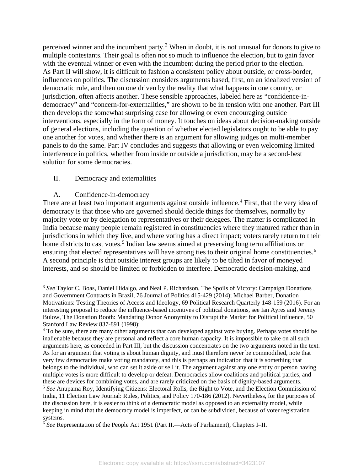perceived winner and the incumbent party.[3](#page-2-0) When in doubt, it is not unusual for donors to give to multiple contestants. Their goal is often not so much to influence the election, but to gain favor with the eventual winner or even with the incumbent during the period prior to the election. As Part II will show, it is difficult to fashion a consistent policy about outside, or cross-border, influences on politics. The discussion considers arguments based, first, on an idealized version of democratic rule, and then on one driven by the reality that what happens in one country, or jurisdiction, often affects another. These sensible approaches, labeled here as "confidence-indemocracy" and "concern-for-externalities," are shown to be in tension with one another. Part III then develops the somewhat surprising case for allowing or even encouraging outside interventions, especially in the form of money. It touches on ideas about decision-making outside of general elections, including the question of whether elected legislators ought to be able to pay one another for votes, and whether there is an argument for allowing judges on multi-member panels to do the same. Part IV concludes and suggests that allowing or even welcoming limited interference in politics, whether from inside or outside a jurisdiction, may be a second-best solution for some democracies.

## II. Democracy and externalities

## A. Confidence-in-democracy

There are at least two important arguments against outside influence.<sup>[4](#page-2-1)</sup> First, that the very idea of democracy is that those who are governed should decide things for themselves, normally by majority vote or by delegation to representatives or their delegees. The matter is complicated in India because many people remain registered in constituencies where they matured rather than in jurisdictions in which they live, and where voting has a direct impact; voters rarely return to their home districts to cast votes.<sup>[5](#page-2-2)</sup> Indian law seems aimed at preserving long term affiliations or ensuring that elected representatives will have strong ties to their original home constituencies.<sup>[6](#page-2-3)</sup> A second principle is that outside interest groups are likely to be tilted in favor of moneyed interests, and so should be limited or forbidden to interfere. Democratic decision-making, and

<span id="page-2-0"></span> $\overline{a}$ <sup>3</sup> *See* Taylor C. Boas, Daniel Hidalgo, and Neal P. Richardson, The Spoils of Victory: Campaign Donations and Government Contracts in Brazil, 76 Journal of Politics 415-429 (2014); Michael Barber, Donation Motivations: Testing Theories of Access and Ideology, 69 Political Research Quarterly 148-159 (2016). For an interesting proposal to reduce the influence-based incentives of political donations, see Ian Ayres and Jeremy Bulow, The Donation Booth: Mandating Donor Anonymity to Disrupt the Market for Political Influence, 50 Stanford Law Review 837-891 (1998);

<span id="page-2-1"></span><sup>&</sup>lt;sup>4</sup> To be sure, there are many other arguments that can developed against vote buying. Perhaps votes should be inalienable because they are personal and reflect a core human capacity. It is impossible to take on all such arguments here, as conceded in Part III, but the discussion concentrates on the two arguments noted in the text. As for an argument that voting is about human dignity, and must therefore never be commodified, note that very few democracies make voting mandatory, and this is perhaps an indication that it is something that belongs to the individual, who can set it aside or sell it. The argument against any one entity or person having multiple votes is more difficult to develop or defeat. Democracies allow coalitions and political parties, and these are devices for combining votes, and are rarely criticized on the basis of dignity-based arguments. <sup>5</sup> *See* Anupama Roy, Identifying Citizens: Electoral Rolls, the Right to Vote, and the Election Commission of India, 11 Election Law Journal: Rules, Politics, and Policy 170-186 (2012). Nevertheless, for the purposes of the discussion here, it is easier to think of a democratic model as opposed to an externality model, while keeping in mind that the democracy model is imperfect, or can be subdivided, because of voter registration systems.

<span id="page-2-3"></span><span id="page-2-2"></span><sup>6</sup> *See* Representation of the People Act 1951 (Part II.—Acts of Parliament), Chapters I–II.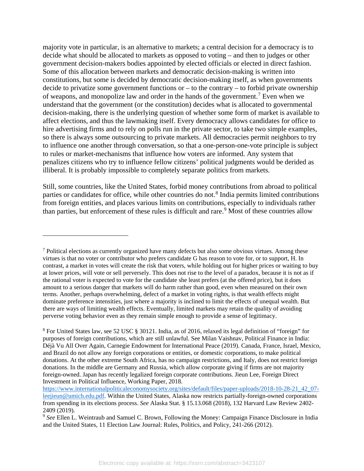majority vote in particular, is an alternative to markets; a central decision for a democracy is to decide what should be allocated to markets as opposed to voting – and then to judges or other government decision-makers bodies appointed by elected officials or elected in direct fashion. Some of this allocation between markets and democratic decision-making is written into constitutions, but some is decided by democratic decision-making itself, as when governments decide to privatize some government functions or – to the contrary – to forbid private ownership of weapons, and monopolize law and order in the hands of the government.[7](#page-3-0) Even when we understand that the government (or the constitution) decides what is allocated to governmental decision-making, there is the underlying question of whether some form of market is available to affect elections, and thus the lawmaking itself. Every democracy allows candidates for office to hire advertising firms and to rely on polls run in the private sector, to take two simple examples, so there is always some outsourcing to private markets. All democracies permit neighbors to try to influence one another through conversation, so that a one-person-one-vote principle is subject to rules or market-mechanisms that influence how voters are informed. Any system that penalizes citizens who try to influence fellow citizens' political judgments would be derided as illiberal. It is probably impossible to completely separate politics from markets.

Still, some countries, like the United States, forbid money contributions from abroad to political parties or candidates for office, while other countries do not.<sup>[8](#page-3-1)</sup> India permits limited contributions from foreign entities, and places various limits on contributions, especially to individuals rather than parties, but enforcement of these rules is difficult and rare. [9](#page-3-2) Most of these countries allow

<span id="page-3-0"></span> $<sup>7</sup>$  Political elections as currently organized have many defects but also some obvious virtues. Among these</sup> virtues is that no voter or contributor who prefers candidate G has reason to vote for, or to support, H. In contrast, a market in votes will create the risk that voters, while holding out for higher prices or waiting to buy at lower prices, will vote or sell perversely. This does not rise to the level of a paradox, because it is not as if the rational voter is expected to vote for the candidate she least prefers (at the offered price), but it does amount to a serious danger that markets will do harm rather than good, even when measured on their own terms. Another, perhaps overwhelming, defect of a market in voting rights, is that wealth effects might dominate preference intensities, just where a majority is inclined to limit the effects of unequal wealth. But there are ways of limiting wealth effects. Eventually, limited markets may retain the quality of avoiding perverse voting behavior even as they remain simple enough to provide a sense of legitimacy.

<span id="page-3-1"></span><sup>8</sup> For United States law, see 52 USC § 30121. India, as of 2016, relaxed its legal definition of "foreign" for purposes of foreign contributions, which are still unlawful. See Milan Vaishnav, Political Finance in India: Déjà Vu All Over Again, Carnegie Endowment for International Peace (2019). Canada, France, Israel, Mexico, and Brazil do not allow any foreign corporations or entities, or domestic corporations, to make political donations. At the other extreme South Africa, has no campaign restrictions, and Italy, does not restrict foreign donations. In the middle are Germany and Russia, which allow corporate giving if firms are not majority foreign-owned. Japan has recently legalized foreign corporate contributions. Jieun Lee, Foreign Direct Investment in Political Influence, Working Paper, 2018.

[https://www.internationalpoliticaleconomysociety.org/sites/default/files/paper-uploads/2018-10-28-21\\_42\\_07](https://www.internationalpoliticaleconomysociety.org/sites/default/files/paper-uploads/2018-10-28-21_42_07-leejieun@umich.edu.pdf) [leejieun@umich.edu.pdf.](https://www.internationalpoliticaleconomysociety.org/sites/default/files/paper-uploads/2018-10-28-21_42_07-leejieun@umich.edu.pdf) Within the United States, Alaska now restricts partially-foreign-owned corporations from spending in its elections process. *See* Alaska Stat. § 15.13.068 (2018), 132 Harvard Law Review 2402- 2409 (2019).

<span id="page-3-2"></span><sup>&</sup>lt;sup>9</sup> See Ellen L. Weintraub and Samuel C. Brown, Following the Money: Campaign Finance Disclosure in India and the United States, 11 Election Law Journal: Rules, Politics, and Policy, 241-266 (2012).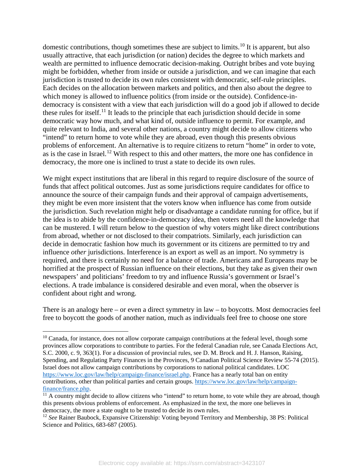domestic contributions, though sometimes these are subject to limits.<sup>[10](#page-4-0)</sup> It is apparent, but also usually attractive, that each jurisdiction (or nation) decides the degree to which markets and wealth are permitted to influence democratic decision-making. Outright bribes and vote buying might be forbidden, whether from inside or outside a jurisdiction, and we can imagine that each jurisdiction is trusted to decide its own rules consistent with democratic, self-rule principles. Each decides on the allocation between markets and politics, and then also about the degree to which money is allowed to influence politics (from inside or the outside). Confidence-indemocracy is consistent with a view that each jurisdiction will do a good job if allowed to decide these rules for itself.<sup>[11](#page-4-1)</sup> It leads to the principle that each jurisdiction should decide in some democratic way how much, and what kind of, outside influence to permit. For example, and quite relevant to India, and several other nations, a country might decide to allow citizens who "intend" to return home to vote while they are abroad, even though this presents obvious problems of enforcement. An alternative is to require citizens to return "home" in order to vote, as is the case in Israel.<sup>[12](#page-4-2)</sup> With respect to this and other matters, the more one has confidence in democracy, the more one is inclined to trust a state to decide its own rules.

We might expect institutions that are liberal in this regard to require disclosure of the source of funds that affect political outcomes. Just as some jurisdictions require candidates for office to announce the source of their campaign funds and their approval of campaign advertisements, they might be even more insistent that the voters know when influence has come from outside the jurisdiction. Such revelation might help or disadvantage a candidate running for office, but if the idea is to abide by the confidence-in-democracy idea, then voters need all the knowledge that can be mustered. I will return below to the question of why voters might like direct contributions from abroad, whether or not disclosed to their compatriots. Similarly, each jurisdiction can decide in democratic fashion how much its government or its citizens are permitted to try and influence *other* jurisdictions. Interference is an export as well as an import. No symmetry is required, and there is certainly no need for a balance of trade. Americans and Europeans may be horrified at the prospect of Russian influence on their elections, but they take as given their own newspapers' and politicians' freedom to try and influence Russia's government or Israel's elections. A trade imbalance is considered desirable and even moral, when the observer is confident about right and wrong.

There is an analogy here – or even a direct symmetry in law – to boycotts. Most democracies feel free to boycott the goods of another nation, much as individuals feel free to choose one store

<span id="page-4-0"></span> $10$  Canada, for instance, does not allow corporate campaign contributions at the federal level, though some provinces allow corporations to contribute to parties. For the federal Canadian rule, see Canada Elections Act, S.C. 2000, c. 9, 363(1). For a discussion of provincial rules, see D. M. Brock and H. J. Hanson, Raising, Spending, and Regulating Party Finances in the Provinces, 9 Canadian Political Science Review 55-74 (2015). Israel does not allow campaign contributions by corporations to national political candidates. LOC [https://www.loc.gov/law/help/campaign-finance/israel.php.](https://www.loc.gov/law/help/campaign-finance/israel.php) France has a nearly total ban on entity contributions, other than political parties and certain groups. [https://www.loc.gov/law/help/campaign](https://www.loc.gov/law/help/campaign-finance/france.php)[finance/france.php.](https://www.loc.gov/law/help/campaign-finance/france.php)

<span id="page-4-1"></span> $11$  A country might decide to allow citizens who "intend" to return home, to vote while they are abroad, though this presents obvious problems of enforcement. As emphasized in the text, the more one believes in democracy, the more a state ought to be trusted to decide its own rules.

<span id="page-4-2"></span><sup>&</sup>lt;sup>12</sup> See Rainer Baubock, Expansive Citizenship: Voting beyond Territory and Membership, 38 PS: Political Science and Politics, 683-687 (2005).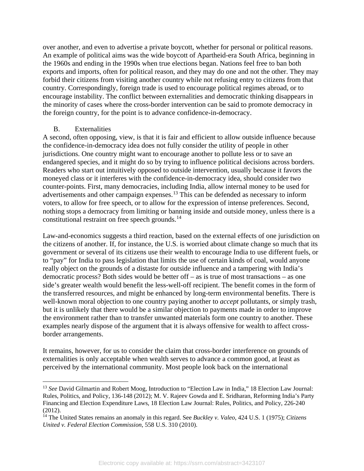over another, and even to advertise a private boycott, whether for personal or political reasons. An example of political aims was the wide boycott of Apartheid-era South Africa, beginning in the 1960s and ending in the 1990s when true elections began. Nations feel free to ban both exports and imports, often for political reason, and they may do one and not the other. They may forbid their citizens from visiting another country while not refusing entry to citizens from that country. Correspondingly, foreign trade is used to encourage political regimes abroad, or to encourage instability. The conflict between externalities and democratic thinking disappears in the minority of cases where the cross-border intervention can be said to promote democracy in the foreign country, for the point is to advance confidence-in-democracy.

#### B. Externalities

 $\overline{a}$ 

A second, often opposing, view, is that it is fair and efficient to allow outside influence because the confidence-in-democracy idea does not fully consider the utility of people in other jurisdictions. One country might want to encourage another to pollute less or to save an endangered species, and it might do so by trying to influence political decisions across borders. Readers who start out intuitively opposed to outside intervention, usually because it favors the moneyed class or it interferes with the confidence-in-democracy idea, should consider two counter-points. First, many democracies, including India, allow internal money to be used for advertisements and other campaign expenses.<sup>[13](#page-5-0)</sup> This can be defended as necessary to inform voters, to allow for free speech, or to allow for the expression of intense preferences. Second, nothing stops a democracy from limiting or banning inside and outside money, unless there is a constitutional restraint on free speech grounds.[14](#page-5-1)

Law-and-economics suggests a third reaction, based on the external effects of one jurisdiction on the citizens of another. If, for instance, the U.S. is worried about climate change so much that its government or several of its citizens use their wealth to encourage India to use different fuels, or to "pay" for India to pass legislation that limits the use of certain kinds of coal, would anyone really object on the grounds of a distaste for outside influence and a tampering with India's democratic process? Both sides would be better off – as is true of most transactions – as one side's greater wealth would benefit the less-well-off recipient. The benefit comes in the form of the transferred resources, and might be enhanced by long-term environmental benefits. There is well-known moral objection to one country paying another to *accept* pollutants, or simply trash, but it is unlikely that there would be a similar objection to payments made in order to improve the environment rather than to transfer unwanted materials form one country to another. These examples nearly dispose of the argument that it is always offensive for wealth to affect crossborder arrangements.

It remains, however, for us to consider the claim that cross-border interference on grounds of externalities is only acceptable when wealth serves to advance a common good, at least as perceived by the international community. Most people look back on the international

<span id="page-5-0"></span><sup>13</sup> *See* David Gilmartin and Robert Moog, Introduction to "Election Law in India," 18 Election Law Journal: Rules, Politics, and Policy, 136-148 (2012); M. V. Rajeev Gowda and E. Sridharan, Reforming India's Party Financing and Election Expenditure Laws, 18 Election Law Journal: Rules, Politics, and Policy, 226-240 (2012).

<span id="page-5-1"></span><sup>14</sup> The United States remains an anomaly in this regard. See *Buckley v. Valeo*, 424 U.S. 1 (1975); *Citizens United v. Federal Election Commission*, 558 U.S. 310 (2010).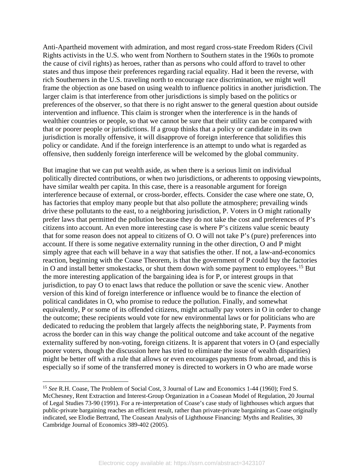Anti-Apartheid movement with admiration, and most regard cross-state Freedom Riders (Civil Rights activists in the U.S. who went from Northern to Southern states in the 1960s to promote the cause of civil rights) as heroes, rather than as persons who could afford to travel to other states and thus impose their preferences regarding racial equality. Had it been the reverse, with rich Southerners in the U.S. traveling north to encourage race discrimination, we might well frame the objection as one based on using wealth to influence politics in another jurisdiction. The larger claim is that interference from other jurisdictions is simply based on the politics or preferences of the observer, so that there is no right answer to the general question about outside intervention and influence. This claim is stronger when the interference is in the hands of wealthier countries or people, so that we cannot be sure that their utility can be compared with that or poorer people or jurisdictions. If a group thinks that a policy or candidate in its own jurisdiction is morally offensive, it will disapprove of foreign interference that solidifies this policy or candidate. And if the foreign interference is an attempt to undo what is regarded as offensive, then suddenly foreign interference will be welcomed by the global community.

But imagine that we can put wealth aside, as when there is a serious limit on individual politically directed contributions, or when two jurisdictions, or adherents to opposing viewpoints, have similar wealth per capita. In this case, there is a reasonable argument for foreign interference because of external, or cross-border, effects. Consider the case where one state, O, has factories that employ many people but that also pollute the atmosphere; prevailing winds drive these pollutants to the east, to a neighboring jurisdiction, P. Voters in O might rationally prefer laws that permitted the pollution because they do not take the cost and preferences of P's citizens into account. An even more interesting case is where P's citizens value scenic beauty that for some reason does not appeal to citizens of O. O will not take P's (pure) preferences into account. If there is some negative externality running in the other direction, O and P might simply agree that each will behave in a way that satisfies the other. If not, a law-and-economics reaction, beginning with the Coase Theorem, is that the government of P could buy the factories in O and install better smokestacks, or shut them down with some payment to employees.[15](#page-6-0) But the more interesting application of the bargaining idea is for P, or interest groups in that jurisdiction, to pay O to enact laws that reduce the pollution or save the scenic view. Another version of this kind of foreign interference or influence would be to finance the election of political candidates in O, who promise to reduce the pollution. Finally, and somewhat equivalently, P or some of its offended citizens, might actually pay voters in O in order to change the outcome; these recipients would vote for new environmental laws or for politicians who are dedicated to reducing the problem that largely affects the neighboring state, P. Payments from across the border can in this way change the political outcome and take account of the negative externality suffered by non-voting, foreign citizens. It is apparent that voters in O (and especially poorer voters, though the discussion here has tried to eliminate the issue of wealth disparities) might be better off with a rule that allows or even encourages payments from abroad, and this is especially so if some of the transferred money is directed to workers in O who are made worse

<span id="page-6-0"></span><sup>&</sup>lt;sup>15</sup> See R.H. Coase, The Problem of Social Cost, 3 Journal of Law and Economics 1-44 (1960); Fred S. McChesney, Rent Extraction and Interest-Group Organization in a Coasean Model of Regulation, 20 Journal of Legal Studies 73-90 (1991). For a re-interpretation of Coase's case study of lighthouses which argues that public-private bargaining reaches an efficient result, rather than private-private bargaining as Coase originally indicated, see Elodie Bertrand, The Coasean Analysis of Lighthouse Financing: Myths and Realities, 30 Cambridge Journal of Economics 389-402 (2005).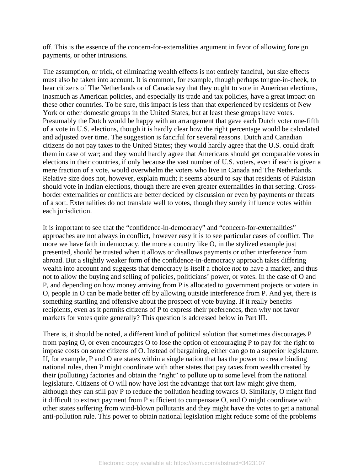off. This is the essence of the concern-for-externalities argument in favor of allowing foreign payments, or other intrusions.

The assumption, or trick, of eliminating wealth effects is not entirely fanciful, but size effects must also be taken into account. It is common, for example, though perhaps tongue-in-cheek, to hear citizens of The Netherlands or of Canada say that they ought to vote in American elections, inasmuch as American policies, and especially its trade and tax policies, have a great impact on these other countries. To be sure, this impact is less than that experienced by residents of New York or other domestic groups in the United States, but at least these groups have votes. Presumably the Dutch would be happy with an arrangement that gave each Dutch voter one-fifth of a vote in U.S. elections, though it is hardly clear how the right percentage would be calculated and adjusted over time. The suggestion is fanciful for several reasons. Dutch and Canadian citizens do not pay taxes to the United States; they would hardly agree that the U.S. could draft them in case of war; and they would hardly agree that Americans should get comparable votes in elections in their countries, if only because the vast number of U.S. voters, even if each is given a mere fraction of a vote, would overwhelm the voters who live in Canada and The Netherlands. Relative size does not, however, explain much; it seems absurd to say that residents of Pakistan should vote in Indian elections, though there are even greater externalities in that setting. Crossborder externalities or conflicts are better decided by discussion or even by payments or threats of a sort. Externalities do not translate well to votes, though they surely influence votes within each jurisdiction.

It is important to see that the "confidence-in-democracy" and "concern-for-externalities" approaches are not always in conflict, however easy it is to see particular cases of conflict. The more we have faith in democracy, the more a country like O, in the stylized example just presented, should be trusted when it allows or disallows payments or other interference from abroad. But a slightly weaker form of the confidence-in-democracy approach takes differing wealth into account and suggests that democracy is itself a choice *not* to have a market, and thus not to allow the buying and selling of policies, politicians' power, or votes. In the case of O and P, and depending on how money arriving from P is allocated to government projects or voters in O, people in O can be made better off by allowing outside interference from P. And yet, there is something startling and offensive about the prospect of vote buying. If it really benefits recipients, even as it permits citizens of P to express their preferences, then why not favor markets for votes quite generally? This question is addressed below in Part III.

There is, it should be noted, a different kind of political solution that sometimes discourages P from paying O, or even encourages O to lose the option of encouraging P to pay for the right to impose costs on some citizens of O. Instead of bargaining, either can go to a superior legislature. If, for example, P and O are states within a single nation that has the power to create binding national rules, then P might coordinate with other states that pay taxes from wealth created by their (polluting) factories and obtain the "right" to pollute up to some level from the national legislature. Citizens of O will now have lost the advantage that tort law might give them, although they can still pay P to reduce the pollution heading towards O. Similarly, O might find it difficult to extract payment from P sufficient to compensate O, and O might coordinate with other states suffering from wind-blown pollutants and they might have the votes to get a national anti-pollution rule. This power to obtain national legislation might reduce some of the problems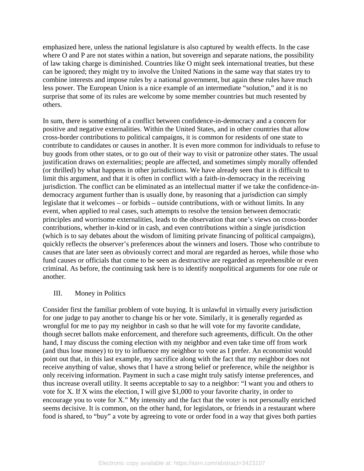emphasized here, unless the national legislature is also captured by wealth effects. In the case where O and P are not states within a nation, but sovereign and separate nations, the possibility of law taking charge is diminished. Countries like O might seek international treaties, but these can be ignored; they might try to involve the United Nations in the same way that states try to combine interests and impose rules by a national government, but again these rules have much less power. The European Union is a nice example of an intermediate "solution," and it is no surprise that some of its rules are welcome by some member countries but much resented by others.

In sum, there is something of a conflict between confidence-in-democracy and a concern for positive and negative externalities. Within the United States, and in other countries that allow cross-border contributions to political campaigns, it is common for residents of one state to contribute to candidates or causes in another. It is even more common for individuals to refuse to buy goods from other states, or to go out of their way to visit or patronize other states. The usual justification draws on externalities; people are affected, and sometimes simply morally offended (or thrilled) by what happens in other jurisdictions. We have already seen that it is difficult to limit this argument, and that it is often in conflict with a faith-in-democracy in the receiving jurisdiction. The conflict can be eliminated as an intellectual matter if we take the confidence-indemocracy argument further than is usually done, by reasoning that a jurisdiction can simply legislate that it welcomes – or forbids – outside contributions, with or without limits. In any event, when applied to real cases, such attempts to resolve the tension between democratic principles and worrisome externalities, leads to the observation that one's views on cross-border contributions, whether in-kind or in cash, and even contributions within a single jurisdiction (which is to say debates about the wisdom of limiting private financing of political campaigns), quickly reflects the observer's preferences about the winners and losers. Those who contribute to causes that are later seen as obviously correct and moral are regarded as heroes, while those who fund causes or officials that come to be seen as destructive are regarded as reprehensible or even criminal. As before, the continuing task here is to identify nonpolitical arguments for one rule or another.

#### III. Money in Politics

Consider first the familiar problem of vote buying. It is unlawful in virtually every jurisdiction for one judge to pay another to change his or her vote. Similarly, it is generally regarded as wrongful for me to pay my neighbor in cash so that he will vote for my favorite candidate, though secret ballots make enforcement, and therefore such agreements, difficult. On the other hand, I may discuss the coming election with my neighbor and even take time off from work (and thus lose money) to try to influence my neighbor to vote as I prefer. An economist would point out that, in this last example, my sacrifice along with the fact that my neighbor does not receive anything of value, shows that I have a strong belief or preference, while the neighbor is only receiving information. Payment in such a case might truly satisfy intense preferences, and thus increase overall utility. It seems acceptable to say to a neighbor: "I want you and others to vote for X. If X wins the election, I will give \$1,000 to your favorite charity, in order to encourage you to vote for X." My intensity and the fact that the voter is not personally enriched seems decisive. It is common, on the other hand, for legislators, or friends in a restaurant where food is shared, to "buy" a vote by agreeing to vote or order food in a way that gives both parties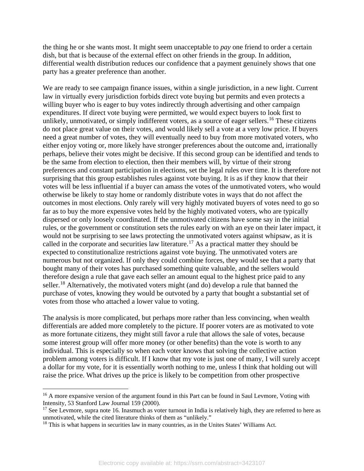the thing he or she wants most. It might seem unacceptable to *pay* one friend to order a certain dish, but that is because of the external effect on other friends in the group. In addition, differential wealth distribution reduces our confidence that a payment genuinely shows that one party has a greater preference than another.

We are ready to see campaign finance issues, within a single jurisdiction, in a new light. Current law in virtually every jurisdiction forbids direct vote buying but permits and even protects a willing buyer who is eager to buy votes indirectly through advertising and other campaign expenditures. If direct vote buying were permitted, we would expect buyers to look first to unlikely, unmotivated, or simply indifferent voters, as a source of eager sellers.<sup>[16](#page-9-0)</sup> These citizens do not place great value on their votes, and would likely sell a vote at a very low price. If buyers need a great number of votes, they will eventually need to buy from more motivated voters, who either enjoy voting or, more likely have stronger preferences about the outcome and, irrationally perhaps, believe their votes might be decisive. If this second group can be identified and tends to be the same from election to election, then their members will, by virtue of their strong preferences and constant participation in elections, set the legal rules over time. It is therefore not surprising that this group establishes rules against vote buying. It is as if they know that their votes will be less influential if a buyer can amass the votes of the unmotivated voters, who would otherwise be likely to stay home or randomly distribute votes in ways that do not affect the outcomes in most elections. Only rarely will very highly motivated buyers of votes need to go so far as to buy the more expensive votes held by the highly motivated voters, who are typically dispersed or only loosely coordinated. If the unmotivated citizens have some say in the initial rules, or the government or constitution sets the rules early on with an eye on their later impact, it would not be surprising to see laws protecting the unmotivated voters against whipsaw, as it is called in the corporate and securities law literature.<sup>[17](#page-9-1)</sup> As a practical matter they should be expected to constitutionalize restrictions against vote buying. The unmotivated voters are numerous but not organized. If only they could combine forces, they would see that a party that bought many of their votes has purchased something quite valuable, and the sellers would therefore design a rule that gave each seller an amount equal to the highest price paid to any seller.<sup>[18](#page-9-2)</sup> Alternatively, the motivated voters might (and do) develop a rule that banned the purchase of votes, knowing they would be outvoted by a party that bought a substantial set of votes from those who attached a lower value to voting.

The analysis is more complicated, but perhaps more rather than less convincing, when wealth differentials are added more completely to the picture. If poorer voters are as motivated to vote as more fortunate citizens, they might still favor a rule that allows the sale of votes, because some interest group will offer more money (or other benefits) than the vote is worth to any individual. This is especially so when each voter knows that solving the collective action problem among voters is difficult. If I know that my vote is just one of many, I will surely accept a dollar for my vote, for it is essentially worth nothing to me, unless I think that holding out will raise the price. What drives up the price is likely to be competition from other prospective

<span id="page-9-0"></span><sup>&</sup>lt;sup>16</sup> A more expansive version of the argument found in this Part can be found in Saul Levmore, Voting with Intensity, 53 Stanford Law Journal 159 (2000).

<span id="page-9-1"></span><sup>&</sup>lt;sup>17</sup> See Levmore, supra note 16. Inasmuch as voter turnout in India is relatively high, they are referred to here as unmotivated, while the cited literature thinks of them as "unlikely."

<span id="page-9-2"></span><sup>&</sup>lt;sup>18</sup> This is what happens in securities law in many countries, as in the Unites States' Williams Act.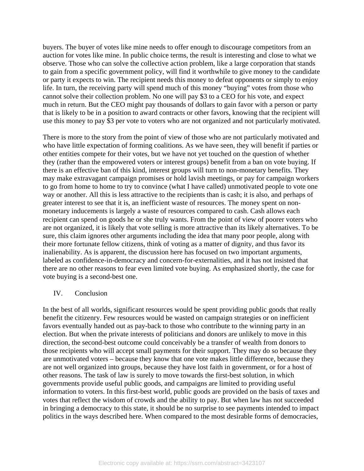buyers. The buyer of votes like mine needs to offer enough to discourage competitors from an auction for votes like mine. In public choice terms, the result is interesting and close to what we observe. Those who can solve the collective action problem, like a large corporation that stands to gain from a specific government policy, will find it worthwhile to give money to the candidate or party it expects to win. The recipient needs this money to defeat opponents or simply to enjoy life. In turn, the receiving party will spend much of this money "buying" votes from those who cannot solve their collection problem. No one will pay \$3 to a CEO for his vote, and expect much in return. But the CEO might pay thousands of dollars to gain favor with a person or party that is likely to be in a position to award contracts or other favors, knowing that the recipient will use this money to pay \$3 per vote to voters who are not organized and not particularly motivated.

There is more to the story from the point of view of those who are not particularly motivated and who have little expectation of forming coalitions. As we have seen, they will benefit if parties or other entities compete for their votes, but we have not yet touched on the question of whether they (rather than the empowered voters or interest groups) benefit from a ban on vote buying. If there is an effective ban of this kind, interest groups will turn to non-monetary benefits. They may make extravagant campaign promises or hold lavish meetings, or pay for campaign workers to go from home to home to try to convince (what I have called) unmotivated people to vote one way or another. All this is less attractive to the recipients than is cash; it is also, and perhaps of greater interest to see that it is, an inefficient waste of resources. The money spent on nonmonetary inducements is largely a waste of resources compared to cash. Cash allows each recipient can spend on goods he or she truly wants. From the point of view of poorer voters who are not organized, it is likely that vote selling is more attractive than its likely alternatives. To be sure, this claim ignores other arguments including the idea that many poor people, along with their more fortunate fellow citizens, think of voting as a matter of dignity, and thus favor its inalienability. As is apparent, the discussion here has focused on two important arguments, labeled as confidence-in-democracy and concern-for-externalities, and it has not insisted that there are no other reasons to fear even limited vote buying. As emphasized shortly, the case for vote buying is a second-best one.

#### IV. Conclusion

In the best of all worlds, significant resources would be spent providing public goods that really benefit the citizenry. Few resources would be wasted on campaign strategies or on inefficient favors eventually handed out as pay-back to those who contribute to the winning party in an election. But when the private interests of politicians and donors are unlikely to move in this direction, the second-best outcome could conceivably be a transfer of wealth from donors to those recipients who will accept small payments for their support. They may do so because they are unmotivated voters – because they know that one vote makes little difference, because they are not well organized into groups, because they have lost faith in government, or for a host of other reasons. The task of law is surely to move towards the first-best solution, in which governments provide useful public goods, and campaigns are limited to providing useful information to voters. In this first-best world, public goods are provided on the basis of taxes and votes that reflect the wisdom of crowds and the ability to pay. But when law has not succeeded in bringing a democracy to this state, it should be no surprise to see payments intended to impact politics in the ways described here. When compared to the most desirable forms of democracies,